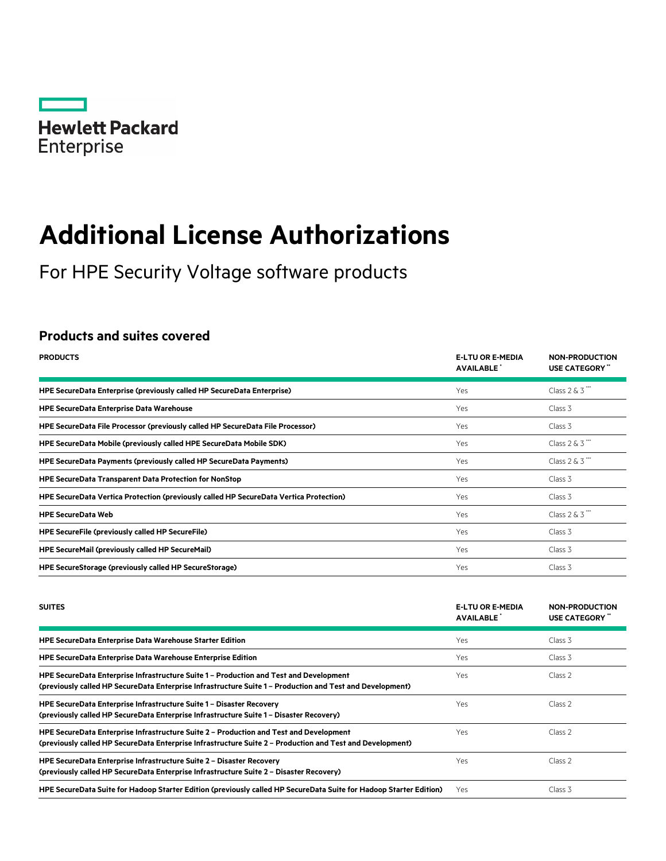

# **Additional License Authorizations**

For HPE Security Voltage software products

# **Products and suites covered**

| <b>PRODUCTS</b>                                                                        | <b>E-LTU OR E-MEDIA</b><br><b>AVAILABLE</b> | <b>NON-PRODUCTION</b><br>USE CATEGORY" |
|----------------------------------------------------------------------------------------|---------------------------------------------|----------------------------------------|
| HPE SecureData Enterprise (previously called HP SecureData Enterprise)                 | Yes                                         | Class $2 & 3$                          |
| <b>HPE SecureData Enterprise Data Warehouse</b>                                        | Yes                                         | Class 3                                |
| HPE SecureData File Processor (previously called HP SecureData File Processor)         | Yes                                         | Class 3                                |
| HPE SecureData Mobile (previously called HPE SecureData Mobile SDK)                    | Yes                                         | Class $2 & 3$ ***                      |
| HPE SecureData Payments (previously called HP SecureData Payments)                     | Yes                                         | Class $2 & 3$                          |
| <b>HPE SecureData Transparent Data Protection for NonStop</b>                          | Yes                                         | Class 3                                |
| HPE SecureData Vertica Protection (previously called HP SecureData Vertica Protection) | Yes                                         | Class 3                                |
| <b>HPE SecureData Web</b>                                                              | Yes                                         | Class $2 & 3$ ***                      |
| <b>HPE SecureFile (previously called HP SecureFile)</b>                                | Yes                                         | Class 3                                |
| <b>HPE SecureMail (previously called HP SecureMail)</b>                                | Yes                                         | Class 3                                |
| <b>HPE SecureStorage (previously called HP SecureStorage)</b>                          | Yes                                         | Class 3                                |

| <b>SUITES</b>                                                                                                                                                                                       | <b>E-LTU OR E-MEDIA</b><br><b>AVAILABLE</b> | <b>NON-PRODUCTION</b><br>USE CATEGORY " |
|-----------------------------------------------------------------------------------------------------------------------------------------------------------------------------------------------------|---------------------------------------------|-----------------------------------------|
| <b>HPE SecureData Enterprise Data Warehouse Starter Edition</b>                                                                                                                                     | <b>Yes</b>                                  | Class 3                                 |
| <b>HPE SecureData Enterprise Data Warehouse Enterprise Edition</b>                                                                                                                                  | Yes                                         | Class 3                                 |
| HPE SecureData Enterprise Infrastructure Suite 1 - Production and Test and Development<br>(previously called HP SecureData Enterprise Infrastructure Suite 1 - Production and Test and Development) | Yes.                                        | Class <sub>2</sub>                      |
| HPE SecureData Enterprise Infrastructure Suite 1 – Disaster Recovery<br>(previously called HP SecureData Enterprise Infrastructure Suite 1 - Disaster Recovery)                                     | Yes                                         | Class <sub>2</sub>                      |
| HPE SecureData Enterprise Infrastructure Suite 2 - Production and Test and Development<br>(previously called HP SecureData Enterprise Infrastructure Suite 2 - Production and Test and Development) | Yes.                                        | Class <sub>2</sub>                      |
| HPE SecureData Enterprise Infrastructure Suite 2 – Disaster Recovery<br>(previously called HP SecureData Enterprise Infrastructure Suite 2 - Disaster Recovery)                                     | Yes                                         | Class <sub>2</sub>                      |
| HPE SecureData Suite for Hadoop Starter Edition (previously called HP SecureData Suite for Hadoop Starter Edition)                                                                                  | Yes.                                        | Class 3                                 |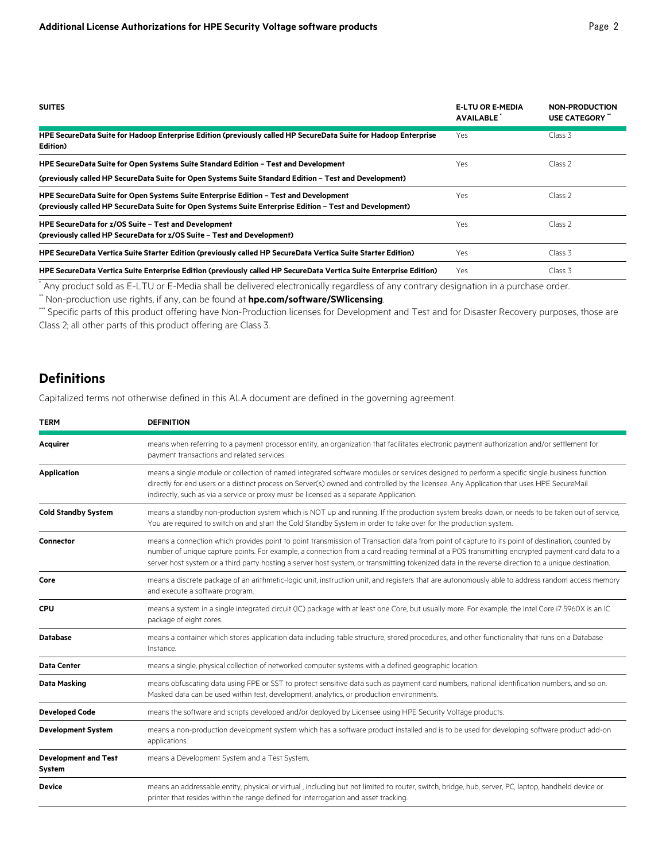| <b>SUITES</b>                                                                                                                                                                                     | <b>E-LTU OR E-MEDIA</b><br><b>AVAILABLE</b> | <b>NON-PRODUCTION</b><br>USE CATEGORY |
|---------------------------------------------------------------------------------------------------------------------------------------------------------------------------------------------------|---------------------------------------------|---------------------------------------|
| HPE SecureData Suite for Hadoop Enterprise Edition (previously called HP SecureData Suite for Hadoop Enterprise<br>Edition)                                                                       | Yes                                         | Class 3                               |
| HPE SecureData Suite for Open Systems Suite Standard Edition - Test and Development<br>(previously called HP SecureData Suite for Open Systems Suite Standard Edition - Test and Development)     | Yes                                         | Class <sub>2</sub>                    |
| HPE SecureData Suite for Open Systems Suite Enterprise Edition - Test and Development<br>(previously called HP SecureData Suite for Open Systems Suite Enterprise Edition - Test and Development) | Yes                                         | Class <sub>2</sub>                    |
| HPE SecureData for z/OS Suite – Test and Development<br>(previously called HP SecureData for z/OS Suite - Test and Development)                                                                   | Yes.                                        | Class 2                               |
| HPE SecureData Vertica Suite Starter Edition (previously called HP SecureData Vertica Suite Starter Edition)                                                                                      | Yes                                         | Class 3                               |
| HPE SecureData Vertica Suite Enterprise Edition (previously called HP SecureData Vertica Suite Enterprise Edition)                                                                                | Yes.                                        | Class 3                               |

\* Any product sold as E-LTU or E-Media shall be delivered electronically regardless of any contrary designation in a purchase order.

\*\* Non-production use rights, if any, can be found at **[hpe.com/software/SWlicensing](http://www.hpe.com/software/SWlicensing)**.

\*\*\* Specific parts of this product offering have Non-Production licenses for Development and Test and for Disaster Recovery purposes, those are Class 2; all other parts of this product offering are Class 3.

# **Definitions**

Capitalized terms not otherwise defined in this ALA document are defined in the governing agreement.

| <b>TERM</b>                           | <b>DEFINITION</b>                                                                                                                                                                                                                                                                                                                                                                                                                                       |
|---------------------------------------|---------------------------------------------------------------------------------------------------------------------------------------------------------------------------------------------------------------------------------------------------------------------------------------------------------------------------------------------------------------------------------------------------------------------------------------------------------|
| Acquirer                              | means when referring to a payment processor entity, an organization that facilitates electronic payment authorization and/or settlement for<br>payment transactions and related services.                                                                                                                                                                                                                                                               |
| <b>Application</b>                    | means a single module or collection of named integrated software modules or services designed to perform a specific single business function<br>directly for end users or a distinct process on Server(s) owned and controlled by the licensee. Any Application that uses HPE SecureMail<br>indirectly, such as via a service or proxy must be licensed as a separate Application.                                                                      |
| <b>Cold Standby System</b>            | means a standby non-production system which is NOT up and running. If the production system breaks down, or needs to be taken out of service,<br>You are required to switch on and start the Cold Standby System in order to take over for the production system.                                                                                                                                                                                       |
| Connector                             | means a connection which provides point to point transmission of Transaction data from point of capture to its point of destination, counted by<br>number of unique capture points. For example, a connection from a card reading terminal at a POS transmitting encrypted payment card data to a<br>server host system or a third party hosting a server host system, or transmitting tokenized data in the reverse direction to a unique destination. |
| Core                                  | means a discrete package of an arithmetic-logic unit, instruction unit, and registers that are autonomously able to address random access memory<br>and execute a software program.                                                                                                                                                                                                                                                                     |
| <b>CPU</b>                            | means a system in a single integrated circuit (IC) package with at least one Core, but usually more. For example, the Intel Core i7 5960X is an IC<br>package of eight cores.                                                                                                                                                                                                                                                                           |
| <b>Database</b>                       | means a container which stores application data including table structure, stored procedures, and other functionality that runs on a Database<br>Instance.                                                                                                                                                                                                                                                                                              |
| <b>Data Center</b>                    | means a single, physical collection of networked computer systems with a defined geographic location.                                                                                                                                                                                                                                                                                                                                                   |
| Data Masking                          | means obfuscating data using FPE or SST to protect sensitive data such as payment card numbers, national identification numbers, and so on.<br>Masked data can be used within test, development, analytics, or production environments.                                                                                                                                                                                                                 |
| <b>Developed Code</b>                 | means the software and scripts developed and/or deployed by Licensee using HPE Security Voltage products.                                                                                                                                                                                                                                                                                                                                               |
| <b>Development System</b>             | means a non-production development system which has a software product installed and is to be used for developing software product add-on<br>applications.                                                                                                                                                                                                                                                                                              |
| <b>Development and Test</b><br>System | means a Development System and a Test System.                                                                                                                                                                                                                                                                                                                                                                                                           |
| <b>Device</b>                         | means an addressable entity, physical or virtual, including but not limited to router, switch, bridge, hub, server, PC, laptop, handheld device or<br>printer that resides within the range defined for interrogation and asset tracking.                                                                                                                                                                                                               |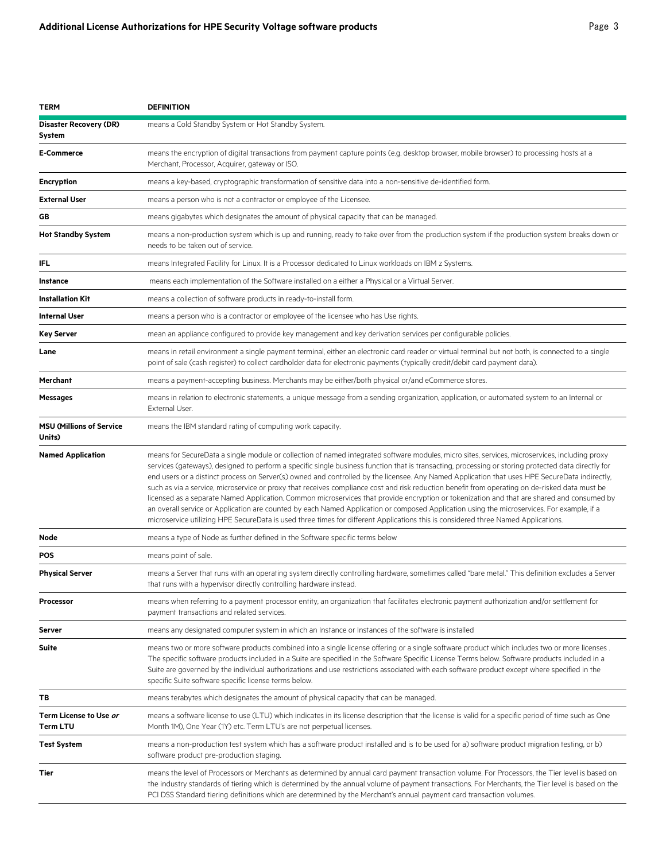| TERM                                      | <b>DEFINITION</b>                                                                                                                                                                                                                                                                                                                                                                                                                                                                                                                                                                                                                                                                                                                                                                                                                                                                                                                                                                                                                         |
|-------------------------------------------|-------------------------------------------------------------------------------------------------------------------------------------------------------------------------------------------------------------------------------------------------------------------------------------------------------------------------------------------------------------------------------------------------------------------------------------------------------------------------------------------------------------------------------------------------------------------------------------------------------------------------------------------------------------------------------------------------------------------------------------------------------------------------------------------------------------------------------------------------------------------------------------------------------------------------------------------------------------------------------------------------------------------------------------------|
| <b>Disaster Recovery (DR)</b><br>System   | means a Cold Standby System or Hot Standby System.                                                                                                                                                                                                                                                                                                                                                                                                                                                                                                                                                                                                                                                                                                                                                                                                                                                                                                                                                                                        |
| <b>E-Commerce</b>                         | means the encryption of digital transactions from payment capture points (e.g. desktop browser, mobile browser) to processing hosts at a<br>Merchant, Processor, Acquirer, gateway or ISO.                                                                                                                                                                                                                                                                                                                                                                                                                                                                                                                                                                                                                                                                                                                                                                                                                                                |
| Encryption                                | means a key-based, cryptographic transformation of sensitive data into a non-sensitive de-identified form.                                                                                                                                                                                                                                                                                                                                                                                                                                                                                                                                                                                                                                                                                                                                                                                                                                                                                                                                |
| <b>External User</b>                      | means a person who is not a contractor or employee of the Licensee.                                                                                                                                                                                                                                                                                                                                                                                                                                                                                                                                                                                                                                                                                                                                                                                                                                                                                                                                                                       |
| GB                                        | means gigabytes which designates the amount of physical capacity that can be managed.                                                                                                                                                                                                                                                                                                                                                                                                                                                                                                                                                                                                                                                                                                                                                                                                                                                                                                                                                     |
| <b>Hot Standby System</b>                 | means a non-production system which is up and running, ready to take over from the production system if the production system breaks down or<br>needs to be taken out of service.                                                                                                                                                                                                                                                                                                                                                                                                                                                                                                                                                                                                                                                                                                                                                                                                                                                         |
| <b>IFL</b>                                | means Integrated Facility for Linux. It is a Processor dedicated to Linux workloads on IBM z Systems.                                                                                                                                                                                                                                                                                                                                                                                                                                                                                                                                                                                                                                                                                                                                                                                                                                                                                                                                     |
| <b>Instance</b>                           | means each implementation of the Software installed on a either a Physical or a Virtual Server.                                                                                                                                                                                                                                                                                                                                                                                                                                                                                                                                                                                                                                                                                                                                                                                                                                                                                                                                           |
| <b>Installation Kit</b>                   | means a collection of software products in ready-to-install form.                                                                                                                                                                                                                                                                                                                                                                                                                                                                                                                                                                                                                                                                                                                                                                                                                                                                                                                                                                         |
| <b>Internal User</b>                      | means a person who is a contractor or employee of the licensee who has Use rights.                                                                                                                                                                                                                                                                                                                                                                                                                                                                                                                                                                                                                                                                                                                                                                                                                                                                                                                                                        |
| Key Server                                | mean an appliance configured to provide key management and key derivation services per configurable policies.                                                                                                                                                                                                                                                                                                                                                                                                                                                                                                                                                                                                                                                                                                                                                                                                                                                                                                                             |
| Lane                                      | means in retail environment a single payment terminal, either an electronic card reader or virtual terminal but not both, is connected to a single<br>point of sale (cash register) to collect cardholder data for electronic payments (typically credit/debit card payment data).                                                                                                                                                                                                                                                                                                                                                                                                                                                                                                                                                                                                                                                                                                                                                        |
| Merchant                                  | means a payment-accepting business. Merchants may be either/both physical or/and eCommerce stores.                                                                                                                                                                                                                                                                                                                                                                                                                                                                                                                                                                                                                                                                                                                                                                                                                                                                                                                                        |
| Messages                                  | means in relation to electronic statements, a unique message from a sending organization, application, or automated system to an Internal or<br>External User.                                                                                                                                                                                                                                                                                                                                                                                                                                                                                                                                                                                                                                                                                                                                                                                                                                                                            |
| <b>MSU (Millions of Service</b><br>Units) | means the IBM standard rating of computing work capacity.                                                                                                                                                                                                                                                                                                                                                                                                                                                                                                                                                                                                                                                                                                                                                                                                                                                                                                                                                                                 |
| <b>Named Application</b>                  | means for SecureData a single module or collection of named integrated software modules, micro sites, services, microservices, including proxy<br>services (gateways), designed to perform a specific single business function that is transacting, processing or storing protected data directly for<br>end users or a distinct process on Server(s) owned and controlled by the licensee. Any Named Application that uses HPE SecureData indirectly,<br>such as via a service, microservice or proxy that receives compliance cost and risk reduction benefit from operating on de-risked data must be<br>licensed as a separate Named Application. Common microservices that provide encryption or tokenization and that are shared and consumed by<br>an overall service or Application are counted by each Named Application or composed Application using the microservices. For example, if a<br>microservice utilizing HPE SecureData is used three times for different Applications this is considered three Named Applications. |
| Node                                      | means a type of Node as further defined in the Software specific terms below                                                                                                                                                                                                                                                                                                                                                                                                                                                                                                                                                                                                                                                                                                                                                                                                                                                                                                                                                              |
| POS                                       | means point of sale.                                                                                                                                                                                                                                                                                                                                                                                                                                                                                                                                                                                                                                                                                                                                                                                                                                                                                                                                                                                                                      |
| <b>Physical Server</b>                    | means a Server that runs with an operating system directly controlling hardware, sometimes called "bare metal." This definition excludes a Server<br>that runs with a hypervisor directly controlling hardware instead.                                                                                                                                                                                                                                                                                                                                                                                                                                                                                                                                                                                                                                                                                                                                                                                                                   |
| Processor                                 | means when referring to a payment processor entity, an organization that facilitates electronic payment authorization and/or settlement for<br>payment transactions and related services.                                                                                                                                                                                                                                                                                                                                                                                                                                                                                                                                                                                                                                                                                                                                                                                                                                                 |
| Server                                    | means any designated computer system in which an Instance or Instances of the software is installed                                                                                                                                                                                                                                                                                                                                                                                                                                                                                                                                                                                                                                                                                                                                                                                                                                                                                                                                       |
| <b>Suite</b>                              | means two or more software products combined into a single license offering or a single software product which includes two or more licenses.<br>The specific software products included in a Suite are specified in the Software Specific License Terms below. Software products included in a<br>Suite are governed by the individual authorizations and use restrictions associated with each software product except where specified in the<br>specific Suite software specific license terms below.                                                                                                                                                                                                                                                                                                                                                                                                                                                                                                                                  |
| ТB                                        | means terabytes which designates the amount of physical capacity that can be managed.                                                                                                                                                                                                                                                                                                                                                                                                                                                                                                                                                                                                                                                                                                                                                                                                                                                                                                                                                     |
| Term License to Use or<br><b>Term LTU</b> | means a software license to use (LTU) which indicates in its license description that the license is valid for a specific period of time such as One<br>Month 1M), One Year (1Y) etc. Term LTU's are not perpetual licenses.                                                                                                                                                                                                                                                                                                                                                                                                                                                                                                                                                                                                                                                                                                                                                                                                              |
| <b>Test System</b>                        | means a non-production test system which has a software product installed and is to be used for a) software product migration testing, or b)<br>software product pre-production staging.                                                                                                                                                                                                                                                                                                                                                                                                                                                                                                                                                                                                                                                                                                                                                                                                                                                  |
| Tier                                      | means the level of Processors or Merchants as determined by annual card payment transaction volume. For Processors, the Tier level is based on<br>the industry standards of tiering which is determined by the annual volume of payment transactions. For Merchants, the Tier level is based on the<br>PCI DSS Standard tiering definitions which are determined by the Merchant's annual payment card transaction volumes.                                                                                                                                                                                                                                                                                                                                                                                                                                                                                                                                                                                                               |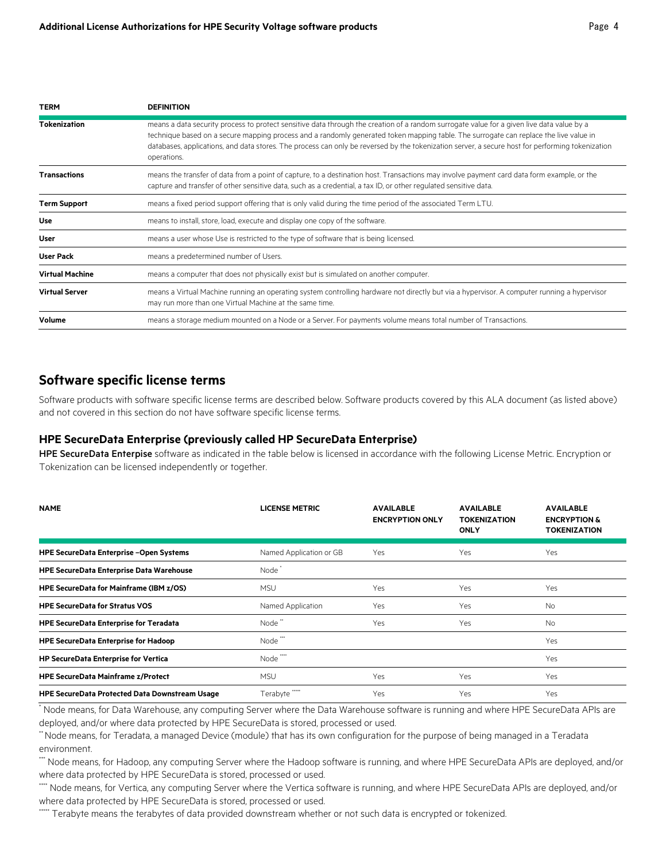| <b>TERM</b>            | <b>DEFINITION</b>                                                                                                                                                                                                                                                                                                                                                                                                                                     |
|------------------------|-------------------------------------------------------------------------------------------------------------------------------------------------------------------------------------------------------------------------------------------------------------------------------------------------------------------------------------------------------------------------------------------------------------------------------------------------------|
| <b>Tokenization</b>    | means a data security process to protect sensitive data through the creation of a random surrogate value for a given live data value by a<br>technique based on a secure mapping process and a randomly generated token mapping table. The surrogate can replace the live value in<br>databases, applications, and data stores. The process can only be reversed by the tokenization server, a secure host for performing tokenization<br>operations. |
| <b>Transactions</b>    | means the transfer of data from a point of capture, to a destination host. Transactions may involve payment card data form example, or the<br>capture and transfer of other sensitive data, such as a credential, a tax ID, or other regulated sensitive data.                                                                                                                                                                                        |
| <b>Term Support</b>    | means a fixed period support offering that is only valid during the time period of the associated Term LTU.                                                                                                                                                                                                                                                                                                                                           |
| Use                    | means to install, store, load, execute and display one copy of the software.                                                                                                                                                                                                                                                                                                                                                                          |
| User                   | means a user whose Use is restricted to the type of software that is being licensed.                                                                                                                                                                                                                                                                                                                                                                  |
| <b>User Pack</b>       | means a predetermined number of Users.                                                                                                                                                                                                                                                                                                                                                                                                                |
| <b>Virtual Machine</b> | means a computer that does not physically exist but is simulated on another computer.                                                                                                                                                                                                                                                                                                                                                                 |
| <b>Virtual Server</b>  | means a Virtual Machine running an operating system controlling hardware not directly but via a hypervisor. A computer running a hypervisor<br>may run more than one Virtual Machine at the same time.                                                                                                                                                                                                                                                |
| Volume                 | means a storage medium mounted on a Node or a Server. For payments volume means total number of Transactions.                                                                                                                                                                                                                                                                                                                                         |

## **Software specific license terms**

Software products with software specific license terms are described below. Software products covered by this ALA document (as listed above) and not covered in this section do not have software specific license terms.

#### **HPE SecureData Enterprise (previously called HP SecureData Enterprise)**

HPE SecureData Enterpise software as indicated in the table below is licensed in accordance with the following License Metric. Encryption or Tokenization can be licensed independently or together.

| <b>NAME</b>                                           | <b>LICENSE METRIC</b>   | <b>AVAILABLE</b><br><b>ENCRYPTION ONLY</b> | <b>AVAILABLE</b><br><b>TOKENIZATION</b><br><b>ONLY</b> | <b>AVAILABLE</b><br><b>ENCRYPTION &amp;</b><br><b>TOKENIZATION</b> |
|-------------------------------------------------------|-------------------------|--------------------------------------------|--------------------------------------------------------|--------------------------------------------------------------------|
| <b>HPE SecureData Enterprise -Open Systems</b>        | Named Application or GB | Yes                                        | <b>Yes</b>                                             | Yes                                                                |
| <b>HPE SecureData Enterprise Data Warehouse</b>       | Node <sup>+</sup>       |                                            |                                                        |                                                                    |
| <b>HPE SecureData for Mainframe (IBM z/OS)</b>        | <b>MSU</b>              | Yes                                        | <b>Yes</b>                                             | <b>Yes</b>                                                         |
| <b>HPE SecureData for Stratus VOS</b>                 | Named Application       | Yes                                        | <b>Yes</b>                                             | <b>No</b>                                                          |
| <b>HPE SecureData Enterprise for Teradata</b>         | Node <sup>"</sup>       | Yes                                        | <b>Yes</b>                                             | <b>No</b>                                                          |
| <b>HPE SecureData Enterprise for Hadoop</b>           | Node <sup>*</sup>       |                                            |                                                        | Yes                                                                |
| <b>HP SecureData Enterprise for Vertica</b>           | Node                    |                                            |                                                        | Yes                                                                |
| <b>HPE SecureData Mainframe z/Protect</b>             | <b>MSU</b>              | Yes                                        | <b>Yes</b>                                             | Yes                                                                |
| <b>HPE SecureData Protected Data Downstream Usage</b> | Terabyte                | Yes                                        | Yes                                                    | <b>Yes</b>                                                         |

\* Node means, for Data Warehouse, any computing Server where the Data Warehouse software is running and where HPE SecureData APIs are deployed, and/or where data protected by HPE SecureData is stored, processed or used.

\*\*Node means, for Teradata, a managed Device (module) that has its own configuration for the purpose of being managed in a Teradata environment.

\*\*\* Node means, for Hadoop, any computing Server where the Hadoop software is running, and where HPE SecureData APIs are deployed, and/or where data protected by HPE SecureData is stored, processed or used.

\*\*\*\* Node means, for Vertica, any computing Server where the Vertica software is running, and where HPE SecureData APIs are deployed, and/or where data protected by HPE SecureData is stored, processed or used.

\* Terabyte means the terabytes of data provided downstream whether or not such data is encrypted or tokenized.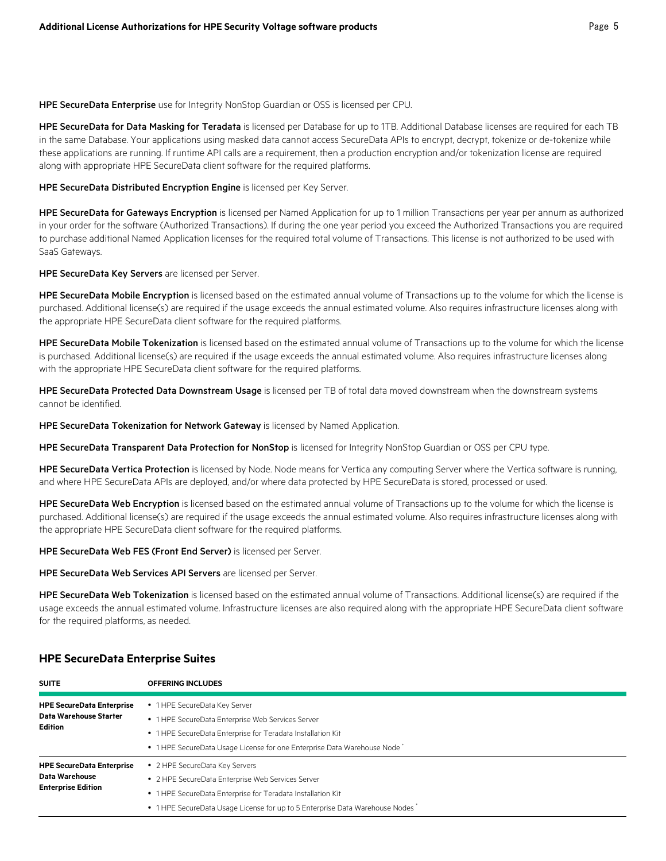HPE SecureData Enterprise use for Integrity NonStop Guardian or OSS is licensed per CPU.

HPE SecureData for Data Masking for Teradata is licensed per Database for up to 1TB. Additional Database licenses are required for each TB in the same Database. Your applications using masked data cannot access SecureData APIs to encrypt, decrypt, tokenize or de-tokenize while these applications are running. If runtime API calls are a requirement, then a production encryption and/or tokenization license are required along with appropriate HPE SecureData client software for the required platforms.

HPE SecureData Distributed Encryption Engine is licensed per Key Server.

HPE SecureData for Gateways Encryption is licensed per Named Application for up to 1 million Transactions per year per annum as authorized in your order for the software (Authorized Transactions). If during the one year period you exceed the Authorized Transactions you are required to purchase additional Named Application licenses for the required total volume of Transactions. This license is not authorized to be used with SaaS Gateways.

HPE SecureData Key Servers are licensed per Server.

HPE SecureData Mobile Encryption is licensed based on the estimated annual volume of Transactions up to the volume for which the license is purchased. Additional license(s) are required if the usage exceeds the annual estimated volume. Also requires infrastructure licenses along with the appropriate HPE SecureData client software for the required platforms.

HPE SecureData Mobile Tokenization is licensed based on the estimated annual volume of Transactions up to the volume for which the license is purchased. Additional license(s) are required if the usage exceeds the annual estimated volume. Also requires infrastructure licenses along with the appropriate HPE SecureData client software for the required platforms.

HPE SecureData Protected Data Downstream Usage is licensed per TB of total data moved downstream when the downstream systems cannot be identified.

HPE SecureData Tokenization for Network Gateway is licensed by Named Application.

HPE SecureData Transparent Data Protection for NonStop is licensed for Integrity NonStop Guardian or OSS per CPU type.

HPE SecureData Vertica Protection is licensed by Node. Node means for Vertica any computing Server where the Vertica software is running, and where HPE SecureData APIs are deployed, and/or where data protected by HPE SecureData is stored, processed or used.

HPE SecureData Web Encryption is licensed based on the estimated annual volume of Transactions up to the volume for which the license is purchased. Additional license(s) are required if the usage exceeds the annual estimated volume. Also requires infrastructure licenses along with the appropriate HPE SecureData client software for the required platforms.

HPE SecureData Web FES (Front End Server) is licensed per Server.

HPE SecureData Web Services API Servers are licensed per Server.

HPE SecureData Web Tokenization is licensed based on the estimated annual volume of Transactions. Additional license(s) are required if the usage exceeds the annual estimated volume. Infrastructure licenses are also required along with the appropriate HPE SecureData client software for the required platforms, as needed.

| <b>SUITE</b>                                       | <b>OFFERING INCLUDES</b>                                                     |
|----------------------------------------------------|------------------------------------------------------------------------------|
| <b>HPE SecureData Enterprise</b>                   | • 1 HPE SecureData Key Server                                                |
| Data Warehouse Starter<br>Edition                  | • 1 HPE SecureData Enterprise Web Services Server                            |
|                                                    | • 1 HPE SecureData Enterprise for Teradata Installation Kit                  |
|                                                    | • 1 HPE SecureData Usage License for one Enterprise Data Warehouse Node      |
| <b>HPE SecureData Enterprise</b>                   | • 2 HPE SecureData Key Servers                                               |
| <b>Data Warehouse</b><br><b>Enterprise Edition</b> | • 2 HPE SecureData Enterprise Web Services Server                            |
|                                                    | • 1 HPE SecureData Enterprise for Teradata Installation Kit                  |
|                                                    | • 1 HPE SecureData Usage License for up to 5 Enterprise Data Warehouse Nodes |

#### **HPE SecureData Enterprise Suites**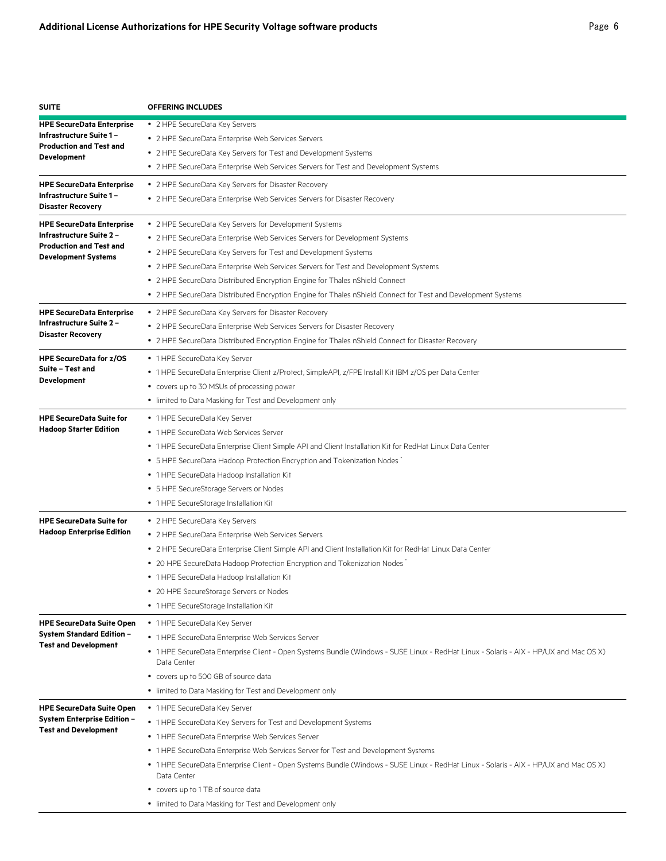| <b>SUITE</b>                                                           | <b>OFFERING INCLUDES</b>                                                                                                                             |
|------------------------------------------------------------------------|------------------------------------------------------------------------------------------------------------------------------------------------------|
| <b>HPE SecureData Enterprise</b>                                       | • 2 HPE SecureData Key Servers                                                                                                                       |
| Infrastructure Suite 1-                                                | • 2 HPE SecureData Enterprise Web Services Servers                                                                                                   |
| <b>Production and Test and</b><br><b>Development</b>                   | • 2 HPE SecureData Key Servers for Test and Development Systems                                                                                      |
|                                                                        | • 2 HPE SecureData Enterprise Web Services Servers for Test and Development Systems                                                                  |
| <b>HPE SecureData Enterprise</b>                                       | • 2 HPE SecureData Key Servers for Disaster Recovery                                                                                                 |
| Infrastructure Suite 1 -                                               | • 2 HPE SecureData Enterprise Web Services Servers for Disaster Recovery                                                                             |
| <b>Disaster Recovery</b>                                               |                                                                                                                                                      |
| <b>HPE SecureData Enterprise</b>                                       | • 2 HPE SecureData Key Servers for Development Systems                                                                                               |
| <b>Infrastructure Suite 2 -</b><br><b>Production and Test and</b>      | • 2 HPE SecureData Enterprise Web Services Servers for Development Systems                                                                           |
| <b>Development Systems</b>                                             | • 2 HPE SecureData Key Servers for Test and Development Systems                                                                                      |
|                                                                        | • 2 HPE SecureData Enterprise Web Services Servers for Test and Development Systems                                                                  |
|                                                                        | • 2 HPE SecureData Distributed Encryption Engine for Thales nShield Connect                                                                          |
|                                                                        | • 2 HPE SecureData Distributed Encryption Engine for Thales nShield Connect for Test and Development Systems                                         |
| <b>HPE SecureData Enterprise</b>                                       | • 2 HPE SecureData Key Servers for Disaster Recovery                                                                                                 |
| Infrastructure Suite 2 -                                               | • 2 HPE SecureData Enterprise Web Services Servers for Disaster Recovery                                                                             |
| <b>Disaster Recovery</b>                                               | • 2 HPE SecureData Distributed Encryption Engine for Thales nShield Connect for Disaster Recovery                                                    |
| <b>HPE SecureData for z/OS</b>                                         | • 1 HPE SecureData Key Server                                                                                                                        |
| Suite - Test and                                                       | • 1 HPE SecureData Enterprise Client z/Protect, SimpleAPI, z/FPE Install Kit IBM z/OS per Data Center                                                |
| <b>Development</b>                                                     | • covers up to 30 MSUs of processing power                                                                                                           |
|                                                                        | • limited to Data Masking for Test and Development only                                                                                              |
| <b>HPE SecureData Suite for</b>                                        | • 1 HPE SecureData Key Server                                                                                                                        |
| <b>Hadoop Starter Edition</b>                                          | • 1 HPE SecureData Web Services Server                                                                                                               |
|                                                                        | • 1 HPE SecureData Enterprise Client Simple API and Client Installation Kit for RedHat Linux Data Center                                             |
|                                                                        | • 5 HPE SecureData Hadoop Protection Encryption and Tokenization Nodes <sup>*</sup>                                                                  |
|                                                                        | • 1 HPE SecureData Hadoop Installation Kit                                                                                                           |
|                                                                        | • 5 HPE SecureStorage Servers or Nodes                                                                                                               |
|                                                                        | • 1 HPE SecureStorage Installation Kit                                                                                                               |
|                                                                        |                                                                                                                                                      |
| <b>HPE SecureData Suite for</b><br><b>Hadoop Enterprise Edition</b>    | • 2 HPE SecureData Key Servers                                                                                                                       |
|                                                                        | • 2 HPE SecureData Enterprise Web Services Servers                                                                                                   |
|                                                                        | • 2 HPE SecureData Enterprise Client Simple API and Client Installation Kit for RedHat Linux Data Center                                             |
|                                                                        | • 20 HPE SecureData Hadoop Protection Encryption and Tokenization Nodes                                                                              |
|                                                                        | • 1 HPE SecureData Hadoop Installation Kit                                                                                                           |
|                                                                        | 20 HPE SecureStorage Servers or Nodes<br>• 1 HPE SecureStorage Installation Kit                                                                      |
|                                                                        |                                                                                                                                                      |
| <b>HPE SecureData Suite Open</b>                                       | • 1 HPE SecureData Key Server                                                                                                                        |
| <b>System Standard Edition -</b><br><b>Test and Development</b>        | • 1 HPE SecureData Enterprise Web Services Server                                                                                                    |
|                                                                        | • 1 HPE SecureData Enterprise Client - Open Systems Bundle (Windows - SUSE Linux - RedHat Linux - Solaris - AIX - HP/UX and Mac OS X)<br>Data Center |
|                                                                        | • covers up to 500 GB of source data                                                                                                                 |
|                                                                        | • limited to Data Masking for Test and Development only                                                                                              |
|                                                                        |                                                                                                                                                      |
| <b>HPE SecureData Suite Open</b><br><b>System Enterprise Edition -</b> | • 1 HPE SecureData Key Server                                                                                                                        |
| <b>Test and Development</b>                                            | • 1 HPE SecureData Key Servers for Test and Development Systems                                                                                      |
|                                                                        | • 1 HPE SecureData Enterprise Web Services Server                                                                                                    |
|                                                                        | • 1 HPE SecureData Enterprise Web Services Server for Test and Development Systems                                                                   |
|                                                                        | • 1 HPE SecureData Enterprise Client - Open Systems Bundle (Windows - SUSE Linux - RedHat Linux - Solaris - AIX - HP/UX and Mac OS X)<br>Data Center |
|                                                                        | • covers up to 1 TB of source data                                                                                                                   |
|                                                                        | • limited to Data Masking for Test and Development only                                                                                              |
|                                                                        |                                                                                                                                                      |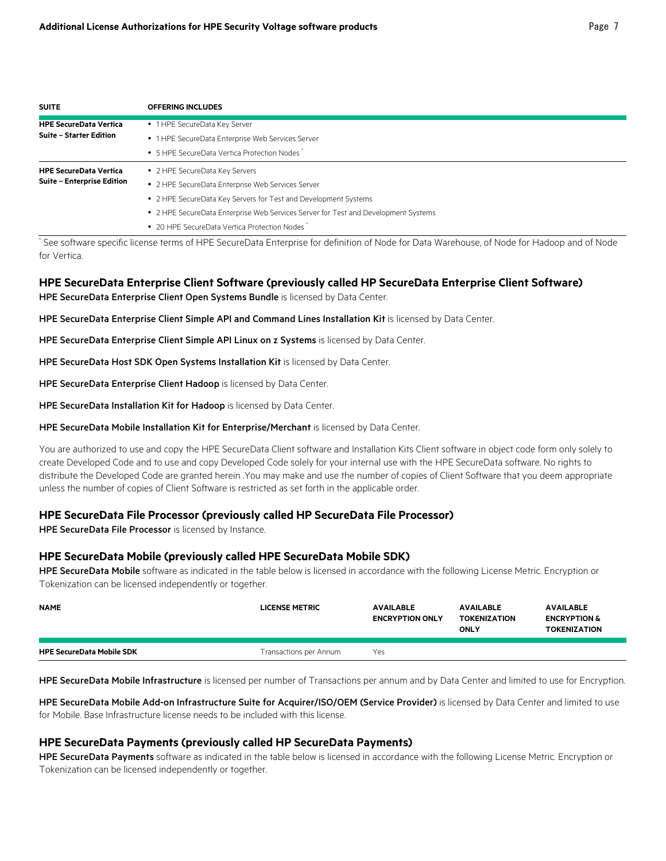| <b>SUITE</b>                      | <b>OFFERING INCLUDES</b>                                                           |
|-----------------------------------|------------------------------------------------------------------------------------|
| <b>HPE SecureData Vertica</b>     | • 1 HPE SecureData Key Server                                                      |
| <b>Suite - Starter Edition</b>    | • 1 HPE SecureData Enterprise Web Services Server                                  |
|                                   | • 5 HPE SecureData Vertica Protection Nodes                                        |
| <b>HPE SecureData Vertica</b>     | • 2 HPE SecureData Key Servers                                                     |
| <b>Suite - Enterprise Edition</b> | • 2 HPE SecureData Enterprise Web Services Server                                  |
|                                   | • 2 HPE SecureData Key Servers for Test and Development Systems                    |
|                                   | • 2 HPE SecureData Enterprise Web Services Server for Test and Development Systems |
|                                   | • 20 HPF SecureData Vertica Protection Nodes                                       |

\* See software specific license terms of HPE SecureData Enterprise for definition of Node for Data Warehouse, of Node for Hadoop and of Node for Vertica.

# **HPE SecureData Enterprise Client Software (previously called HP SecureData Enterprise Client Software)**

HPE SecureData Enterprise Client Open Systems Bundle is licensed by Data Center.

HPE SecureData Enterprise Client Simple API and Command Lines Installation Kit is licensed by Data Center.

HPE SecureData Enterprise Client Simple API Linux on z Systems is licensed by Data Center.

HPE SecureData Host SDK Open Systems Installation Kit is licensed by Data Center.

HPE SecureData Enterprise Client Hadoop is licensed by Data Center.

HPE SecureData Installation Kit for Hadoop is licensed by Data Center.

HPE SecureData Mobile Installation Kit for Enterprise/Merchant is licensed by Data Center.

You are authorized to use and copy the HPE SecureData Client software and Installation Kits Client software in object code form only solely to create Developed Code and to use and copy Developed Code solely for your internal use with the HPE SecureData software. No rights to distribute the Developed Code are granted herein .You may make and use the number of copies of Client Software that you deem appropriate unless the number of copies of Client Software is restricted as set forth in the applicable order.

## **HPE SecureData File Processor (previously called HP SecureData File Processor)**

HPE SecureData File Processor is licensed by Instance.

#### **HPE SecureData Mobile (previously called HPE SecureData Mobile SDK)**

HPE SecureData Mobile software as indicated in the table below is licensed in accordance with the following License Metric. Encryption or Tokenization can be licensed independently or together.

| <b>NAME</b>                      | LICENSE METRIC         | <b>AVAILABLE</b><br><b>ENCRYPTION ONLY</b> | <b>AVAILABLE</b><br><b>TOKENIZATION</b><br>ONLY | <b>AVAILABLE</b><br><b>ENCRYPTION &amp;</b><br><b>TOKENIZATION</b> |
|----------------------------------|------------------------|--------------------------------------------|-------------------------------------------------|--------------------------------------------------------------------|
| <b>HPE SecureData Mobile SDK</b> | Transactions per Annum | Yes                                        |                                                 |                                                                    |

HPE SecureData Mobile Infrastructure is licensed per number of Transactions per annum and by Data Center and limited to use for Encryption.

HPE SecureData Mobile Add-on Infrastructure Suite for Acquirer/ISO/OEM (Service Provider) is licensed by Data Center and limited to use for Mobile. Base Infrastructure license needs to be included with this license.

## **HPE SecureData Payments (previously called HP SecureData Payments)**

HPE SecureData Payments software as indicated in the table below is licensed in accordance with the following License Metric. Encryption or Tokenization can be licensed independently or together.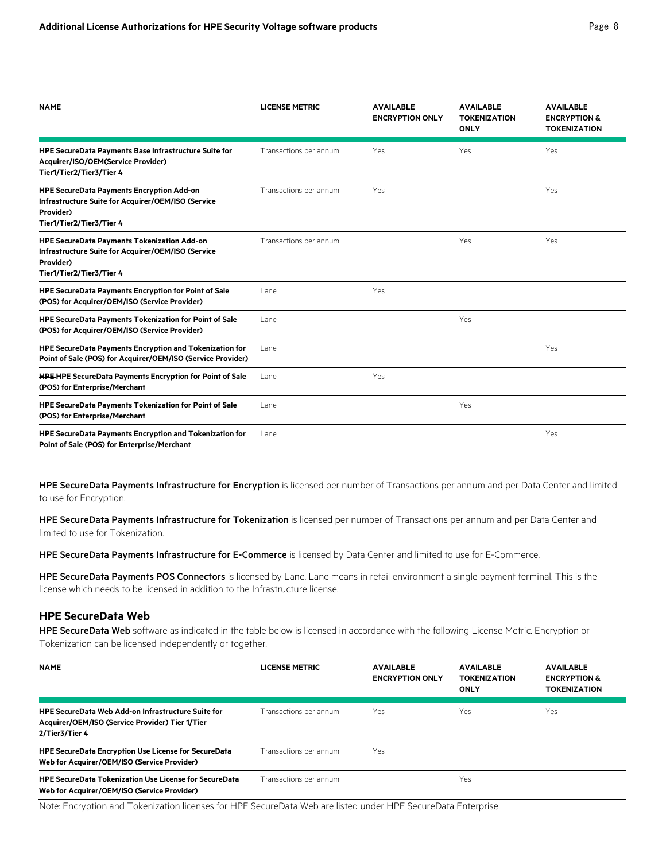| <b>NAME</b>                                                                                                                                     | <b>LICENSE METRIC</b>  | <b>AVAILABLE</b><br><b>ENCRYPTION ONLY</b> | <b>AVAILABLE</b><br><b>TOKENIZATION</b><br><b>ONLY</b> | <b>AVAILABLE</b><br><b>ENCRYPTION &amp;</b><br><b>TOKENIZATION</b> |
|-------------------------------------------------------------------------------------------------------------------------------------------------|------------------------|--------------------------------------------|--------------------------------------------------------|--------------------------------------------------------------------|
| HPE SecureData Payments Base Infrastructure Suite for<br>Acquirer/ISO/OEM(Service Provider)<br>Tier1/Tier2/Tier3/Tier 4                         | Transactions per annum | Yes                                        | Yes                                                    | Yes                                                                |
| <b>HPE SecureData Payments Encryption Add-on</b><br>Infrastructure Suite for Acquirer/OEM/ISO (Service<br>Provider)<br>Tier1/Tier2/Tier3/Tier 4 | Transactions per annum | Yes                                        |                                                        | Yes                                                                |
| HPE SecureData Payments Tokenization Add-on<br>Infrastructure Suite for Acquirer/OEM/ISO (Service<br>Provider)<br>Tier1/Tier2/Tier3/Tier 4      | Transactions per annum |                                            | Yes                                                    | Yes                                                                |
| <b>HPE SecureData Payments Encryption for Point of Sale</b><br>(POS) for Acquirer/OEM/ISO (Service Provider)                                    | Lane                   | Yes                                        |                                                        |                                                                    |
| <b>HPE SecureData Payments Tokenization for Point of Sale</b><br>(POS) for Acquirer/OEM/ISO (Service Provider)                                  | Lane                   |                                            | Yes                                                    |                                                                    |
| HPE SecureData Payments Encryption and Tokenization for<br>Point of Sale (POS) for Acquirer/OEM/ISO (Service Provider)                          | l ane                  |                                            |                                                        | Yes                                                                |
| <b>HPE HPE SecureData Payments Encryption for Point of Sale</b><br>(POS) for Enterprise/Merchant                                                | Lane                   | Yes                                        |                                                        |                                                                    |
| HPE SecureData Payments Tokenization for Point of Sale<br>(POS) for Enterprise/Merchant                                                         | Lane                   |                                            | Yes                                                    |                                                                    |
| HPE SecureData Payments Encryption and Tokenization for<br>Point of Sale (POS) for Enterprise/Merchant                                          | Lane                   |                                            |                                                        | Yes                                                                |

HPE SecureData Payments Infrastructure for Encryption is licensed per number of Transactions per annum and per Data Center and limited to use for Encryption.

HPE SecureData Payments Infrastructure for Tokenization is licensed per number of Transactions per annum and per Data Center and limited to use for Tokenization.

HPE SecureData Payments Infrastructure for E-Commerce is licensed by Data Center and limited to use for E-Commerce.

HPE SecureData Payments POS Connectors is licensed by Lane. Lane means in retail environment a single payment terminal. This is the license which needs to be licensed in addition to the Infrastructure license.

## **HPE SecureData Web**

HPE SecureData Web software as indicated in the table below is licensed in accordance with the following License Metric. Encryption or Tokenization can be licensed independently or together.

| <b>NAME</b>                                                                                                                    | LICENSE METRIC         | <b>AVAILABLE</b><br><b>ENCRYPTION ONLY</b> | <b>AVAILABLE</b><br><b>TOKENIZATION</b><br><b>ONLY</b> | <b>AVAILABLE</b><br><b>ENCRYPTION &amp;</b><br><b>TOKENIZATION</b> |
|--------------------------------------------------------------------------------------------------------------------------------|------------------------|--------------------------------------------|--------------------------------------------------------|--------------------------------------------------------------------|
| <b>HPE SecureData Web Add-on Infrastructure Suite for</b><br>Acquirer/OEM/ISO (Service Provider) Tier 1/Tier<br>2/Tier3/Tier 4 | Transactions per annum | Yes                                        | Yes                                                    | Yes.                                                               |
| <b>HPE SecureData Encryption Use License for SecureData</b><br>Web for Acquirer/OEM/ISO (Service Provider)                     | Transactions per annum | Yes                                        |                                                        |                                                                    |
| <b>HPE SecureData Tokenization Use License for SecureData</b><br>Web for Acquirer/OEM/ISO (Service Provider)                   | Transactions per annum |                                            | Yes                                                    |                                                                    |

Note: Encryption and Tokenization licenses for HPE SecureData Web are listed under HPE SecureData Enterprise.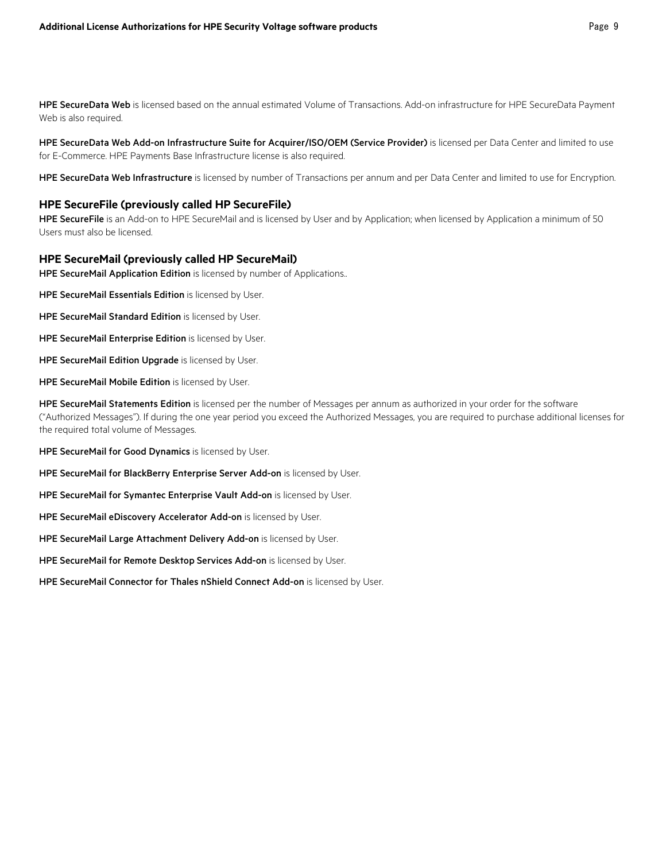HPE SecureData Web is licensed based on the annual estimated Volume of Transactions. Add-on infrastructure for HPE SecureData Payment Web is also required.

#### HPE SecureData Web Add-on Infrastructure Suite for Acquirer/ISO/OEM (Service Provider) is licensed per Data Center and limited to use for E-Commerce. HPE Payments Base Infrastructure license is also required.

HPE SecureData Web Infrastructure is licensed by number of Transactions per annum and per Data Center and limited to use for Encryption.

#### **HPE SecureFile (previously called HP SecureFile)**

HPE SecureFile is an Add-on to HPE SecureMail and is licensed by User and by Application; when licensed by Application a minimum of 50 Users must also be licensed.

#### **HPE SecureMail (previously called HP SecureMail)**

HPE SecureMail Application Edition is licensed by number of Applications..

HPE SecureMail Essentials Edition is licensed by User.

- HPE SecureMail Standard Edition is licensed by User.
- HPE SecureMail Enterprise Edition is licensed by User.

HPE SecureMail Edition Upgrade is licensed by User.

HPE SecureMail Mobile Edition is licensed by User.

HPE SecureMail Statements Edition is licensed per the number of Messages per annum as authorized in your order for the software ("Authorized Messages"). If during the one year period you exceed the Authorized Messages, you are required to purchase additional licenses for the required total volume of Messages.

HPE SecureMail for Good Dynamics is licensed by User.

HPE SecureMail for BlackBerry Enterprise Server Add-on is licensed by User.

HPE SecureMail for Symantec Enterprise Vault Add-on is licensed by User.

HPE SecureMail eDiscovery Accelerator Add-on is licensed by User.

HPE SecureMail Large Attachment Delivery Add-on is licensed by User.

HPE SecureMail for Remote Desktop Services Add-on is licensed by User.

HPE SecureMail Connector for Thales nShield Connect Add-on is licensed by User.